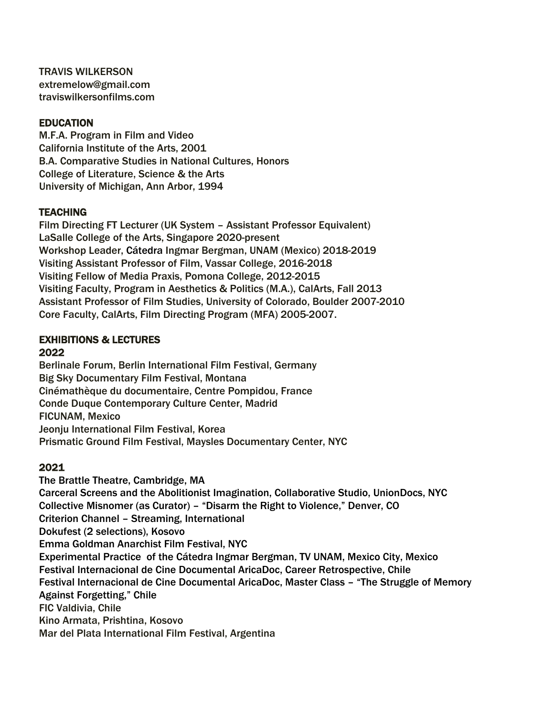TRAVIS WILKERSON extremelow@gmail.com traviswilkersonfilms.com

## EDUCATION

M.F.A. Program in Film and Video California Institute of the Arts, 2001 B.A. Comparative Studies in National Cultures, Honors College of Literature, Science & the Arts University of Michigan, Ann Arbor, 1994

## **TEACHING**

Film Directing FT Lecturer (UK System – Assistant Professor Equivalent) LaSalle College of the Arts, Singapore 2020-present Workshop Leader, Cátedra Ingmar Bergman, UNAM (Mexico) 2018-2019 Visiting Assistant Professor of Film, Vassar College, 2016-2018 Visiting Fellow of Media Praxis, Pomona College, 2012-2015 Visiting Faculty, Program in Aesthetics & Politics (M.A.), CalArts, Fall 2013 Assistant Professor of Film Studies, University of Colorado, Boulder 2007-2010 Core Faculty, CalArts, Film Directing Program (MFA) 2005-2007.

### EXHIBITIONS & LECTURES 2022

Berlinale Forum, Berlin International Film Festival, Germany Big Sky Documentary Film Festival, Montana Cinémathèque du documentaire, Centre Pompidou, France Conde Duque Contemporary Culture Center, Madrid FICUNAM, Mexico Jeonju International Film Festival, Korea Prismatic Ground Film Festival, Maysles Documentary Center, NYC

# 2021

The Brattle Theatre, Cambridge, MA Carceral Screens and the Abolitionist Imagination, Collaborative Studio, UnionDocs, NYC Collective Misnomer (as Curator) – "Disarm the Right to Violence," Denver, CO Criterion Channel – Streaming, International Dokufest (2 selections), Kosovo Emma Goldman Anarchist Film Festival, NYC Experimental Practice of the Cátedra Ingmar Bergman, TV UNAM, Mexico City, Mexico Festival Internacional de Cine Documental AricaDoc, Career Retrospective, Chile Festival Internacional de Cine Documental AricaDoc, Master Class – "The Struggle of Memory Against Forgetting," Chile FIC Valdivia, Chile Kino Armata, Prishtina, Kosovo Mar del Plata International Film Festival, Argentina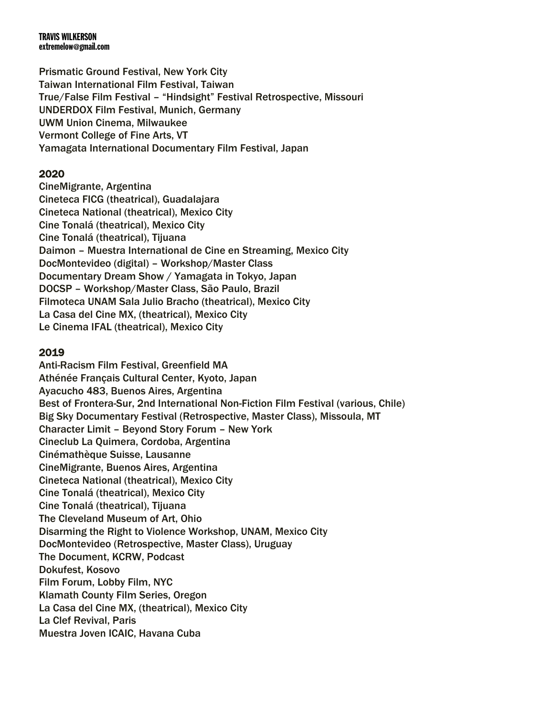Prismatic Ground Festival, New York City Taiwan International Film Festival, Taiwan True/False Film Festival – "Hindsight" Festival Retrospective, Missouri UNDERDOX Film Festival, Munich, Germany UWM Union Cinema, Milwaukee Vermont College of Fine Arts, VT Yamagata International Documentary Film Festival, Japan

## 2020

CineMigrante, Argentina Cineteca FICG (theatrical), Guadalajara Cineteca National (theatrical), Mexico City Cine Tonalá (theatrical), Mexico City Cine Tonalá (theatrical), Tijuana Daimon – Muestra International de Cine en Streaming, Mexico City DocMontevideo (digital) – Workshop/Master Class Documentary Dream Show / Yamagata in Tokyo, Japan DOCSP – Workshop/Master Class, São Paulo, Brazil Filmoteca UNAM Sala Julio Bracho (theatrical), Mexico City La Casa del Cine MX, (theatrical), Mexico City Le Cinema IFAL (theatrical), Mexico City

## 2019

Anti-Racism Film Festival, Greenfield MA Athénée Français Cultural Center, Kyoto, Japan Ayacucho 483, Buenos Aires, Argentina Best of Frontera-Sur, 2nd International Non-Fiction Film Festival (various, Chile) Big Sky Documentary Festival (Retrospective, Master Class), Missoula, MT Character Limit – Beyond Story Forum – New York Cineclub La Quimera, Cordoba, Argentina Cinémathèque Suisse, Lausanne CineMigrante, Buenos Aires, Argentina Cineteca National (theatrical), Mexico City Cine Tonalá (theatrical), Mexico City Cine Tonalá (theatrical), Tijuana The Cleveland Museum of Art, Ohio Disarming the Right to Violence Workshop, UNAM, Mexico City DocMontevideo (Retrospective, Master Class), Uruguay The Document, KCRW, Podcast Dokufest, Kosovo Film Forum, Lobby Film, NYC Klamath County Film Series, Oregon La Casa del Cine MX, (theatrical), Mexico City La Clef Revival, Paris Muestra Joven ICAIC, Havana Cuba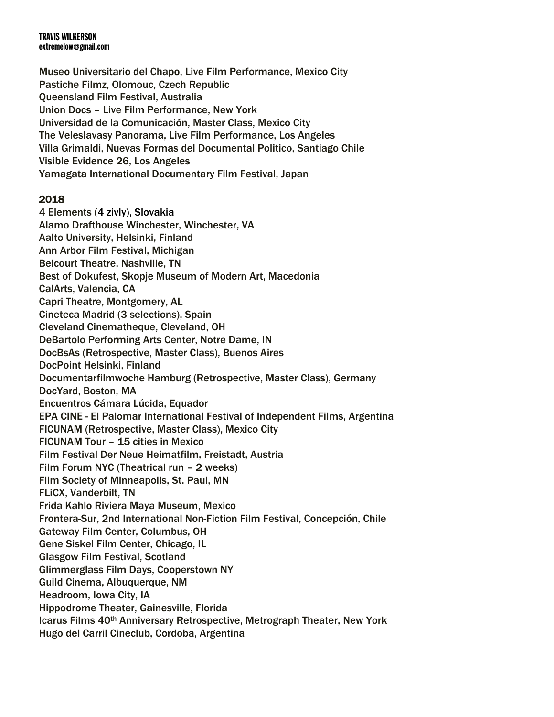Museo Universitario del Chapo, Live Film Performance, Mexico City Pastiche Filmz, Olomouc, Czech Republic Queensland Film Festival, Australia Union Docs – Live Film Performance, New York Universidad de la Comunicación, Master Class, Mexico City The Veleslavasy Panorama, Live Film Performance, Los Angeles Villa Grimaldi, Nuevas Formas del Documental Politico, Santiago Chile Visible Evidence 26, Los Angeles Yamagata International Documentary Film Festival, Japan

## 2018

4 Elements (4 zivly), Slovakia Alamo Drafthouse Winchester, Winchester, VA Aalto University, Helsinki, Finland Ann Arbor Film Festival, Michigan Belcourt Theatre, Nashville, TN Best of Dokufest, Skopje Museum of Modern Art, Macedonia CalArts, Valencia, CA Capri Theatre, Montgomery, AL Cineteca Madrid (3 selections), Spain Cleveland Cinematheque, Cleveland, OH DeBartolo Performing Arts Center, Notre Dame, IN DocBsAs (Retrospective, Master Class), Buenos Aires DocPoint Helsinki, Finland Documentarfilmwoche Hamburg (Retrospective, Master Class), Germany DocYard, Boston, MA Encuentros Cámara Lúcida, Equador EPA CINE - El Palomar International Festival of Independent Films, Argentina FICUNAM (Retrospective, Master Class), Mexico City FICUNAM Tour – 15 cities in Mexico Film Festival Der Neue Heimatfilm, Freistadt, Austria Film Forum NYC (Theatrical run – 2 weeks) Film Society of Minneapolis, St. Paul, MN FLiCX, Vanderbilt, TN Frida Kahlo Riviera Maya Museum, Mexico Frontera-Sur, 2nd International Non-Fiction Film Festival, Concepción, Chile Gateway Film Center, Columbus, OH Gene Siskel Film Center, Chicago, IL Glasgow Film Festival, Scotland Glimmerglass Film Days, Cooperstown NY Guild Cinema, Albuquerque, NM Headroom, Iowa City, IA Hippodrome Theater, Gainesville, Florida Icarus Films 40th Anniversary Retrospective, Metrograph Theater, New York Hugo del Carril Cineclub, Cordoba, Argentina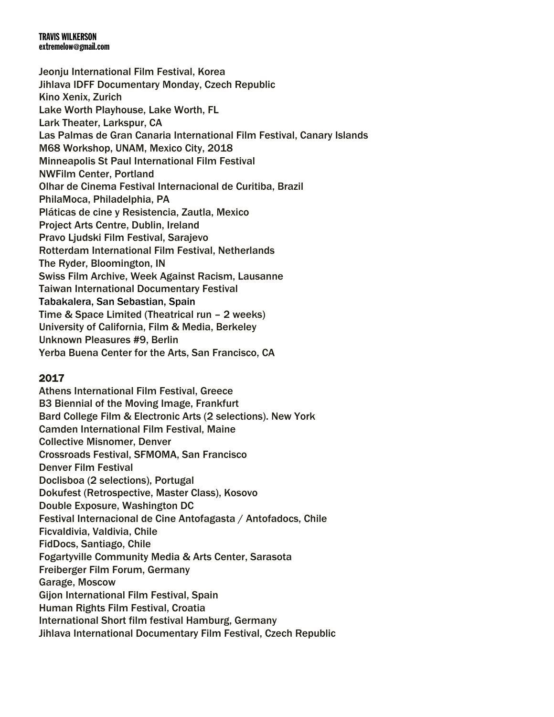Jeonju International Film Festival, Korea Jihlava IDFF Documentary Monday, Czech Republic Kino Xenix, Zurich Lake Worth Playhouse, Lake Worth, FL Lark Theater, Larkspur, CA Las Palmas de Gran Canaria International Film Festival, Canary Islands M68 Workshop, UNAM, Mexico City, 2018 Minneapolis St Paul International Film Festival NWFilm Center, Portland Olhar de Cinema Festival Internacional de Curitiba, Brazil PhilaMoca, Philadelphia, PA Pláticas de cine y Resistencia, Zautla, Mexico Project Arts Centre, Dublin, Ireland Pravo Ljudski Film Festival, Sarajevo Rotterdam International Film Festival, Netherlands The Ryder, Bloomington, IN Swiss Film Archive, Week Against Racism, Lausanne Taiwan International Documentary Festival Tabakalera, San Sebastian, Spain Time & Space Limited (Theatrical run – 2 weeks) University of California, Film & Media, Berkeley Unknown Pleasures #9, Berlin Yerba Buena Center for the Arts, San Francisco, CA

## 2017

Athens International Film Festival, Greece B3 Biennial of the Moving Image, Frankfurt Bard College Film & Electronic Arts (2 selections). New York Camden International Film Festival, Maine Collective Misnomer, Denver Crossroads Festival, SFMOMA, San Francisco Denver Film Festival Doclisboa (2 selections), Portugal Dokufest (Retrospective, Master Class), Kosovo Double Exposure, Washington DC Festival Internacional de Cine Antofagasta / Antofadocs, Chile Ficvaldivia, Valdivia, Chile FidDocs, Santiago, Chile Fogartyville Community Media & Arts Center, Sarasota Freiberger Film Forum, Germany Garage, Moscow Gijon International Film Festival, Spain Human Rights Film Festival, Croatia International Short film festival Hamburg, Germany Jihlava International Documentary Film Festival, Czech Republic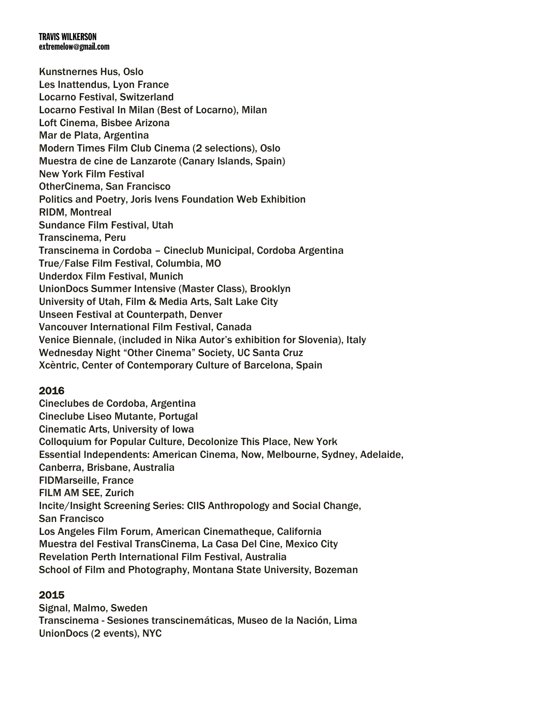Kunstnernes Hus, Oslo Les Inattendus, Lyon France Locarno Festival, Switzerland Locarno Festival In Milan (Best of Locarno), Milan Loft Cinema, Bisbee Arizona Mar de Plata, Argentina Modern Times Film Club Cinema (2 selections), Oslo Muestra de cine de Lanzarote (Canary Islands, Spain) New York Film Festival OtherCinema, San Francisco Politics and Poetry, Joris Ivens Foundation Web Exhibition RIDM, Montreal Sundance Film Festival, Utah Transcinema, Peru Transcinema in Cordoba – Cineclub Municipal, Cordoba Argentina True/False Film Festival, Columbia, MO Underdox Film Festival, Munich UnionDocs Summer Intensive (Master Class), Brooklyn University of Utah, Film & Media Arts, Salt Lake City Unseen Festival at Counterpath, Denver Vancouver International Film Festival, Canada Venice Biennale, (included in Nika Autor's exhibition for Slovenia), Italy Wednesday Night "Other Cinema" Society, UC Santa Cruz Xcèntric, Center of Contemporary Culture of Barcelona, Spain

## 2016

Cineclubes de Cordoba, Argentina Cineclube Liseo Mutante, Portugal Cinematic Arts, University of Iowa Colloquium for Popular Culture, Decolonize This Place, New York Essential Independents: American Cinema, Now, Melbourne, Sydney, Adelaide, Canberra, Brisbane, Australia FIDMarseille, France FILM AM SEE, Zurich Incite/Insight Screening Series: CIIS Anthropology and Social Change, San Francisco Los Angeles Film Forum, American Cinematheque, California Muestra del Festival TransCinema, La Casa Del Cine, Mexico City Revelation Perth International Film Festival, Australia School of Film and Photography, Montana State University, Bozeman

## 2015

Signal, Malmo, Sweden Transcinema - Sesiones transcinemáticas, Museo de la Nación, Lima UnionDocs (2 events), NYC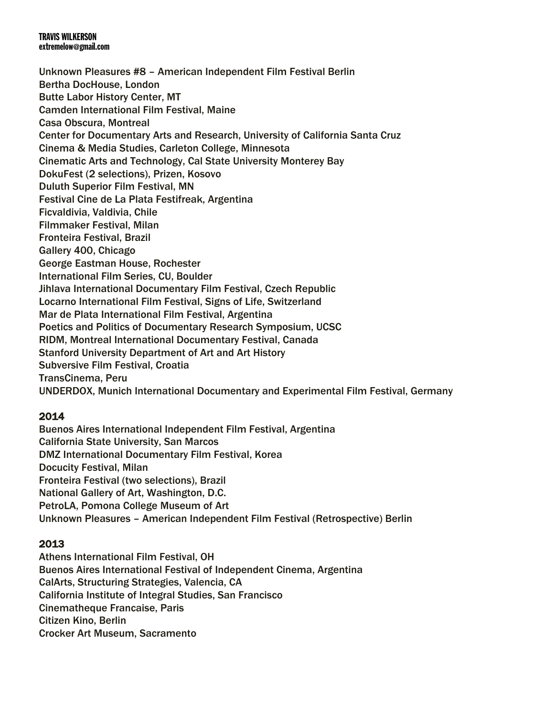Unknown Pleasures #8 – American Independent Film Festival Berlin Bertha DocHouse, London Butte Labor History Center, MT Camden International Film Festival, Maine Casa Obscura, Montreal Center for Documentary Arts and Research, University of California Santa Cruz Cinema & Media Studies, Carleton College, Minnesota Cinematic Arts and Technology, Cal State University Monterey Bay DokuFest (2 selections), Prizen, Kosovo Duluth Superior Film Festival, MN Festival Cine de La Plata Festifreak, Argentina Ficvaldivia, Valdivia, Chile Filmmaker Festival, Milan Fronteira Festival, Brazil Gallery 400, Chicago George Eastman House, Rochester International Film Series, CU, Boulder Jihlava International Documentary Film Festival, Czech Republic Locarno International Film Festival, Signs of Life, Switzerland Mar de Plata International Film Festival, Argentina Poetics and Politics of Documentary Research Symposium, UCSC RIDM, Montreal International Documentary Festival, Canada Stanford University Department of Art and Art History Subversive Film Festival, Croatia TransCinema, Peru UNDERDOX, Munich International Documentary and Experimental Film Festival, Germany

# 2014

Buenos Aires International Independent Film Festival, Argentina California State University, San Marcos DMZ International Documentary Film Festival, Korea Docucity Festival, Milan Fronteira Festival (two selections), Brazil National Gallery of Art, Washington, D.C. PetroLA, Pomona College Museum of Art Unknown Pleasures – American Independent Film Festival (Retrospective) Berlin

# 2013

Athens International Film Festival, OH Buenos Aires International Festival of Independent Cinema, Argentina CalArts, Structuring Strategies, Valencia, CA California Institute of Integral Studies, San Francisco Cinematheque Francaise, Paris Citizen Kino, Berlin Crocker Art Museum, Sacramento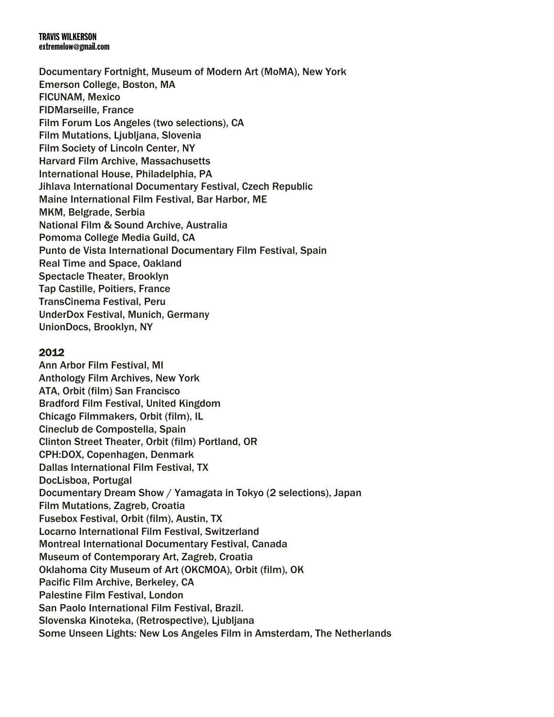Documentary Fortnight, Museum of Modern Art (MoMA), New York Emerson College, Boston, MA FICUNAM, Mexico FIDMarseille, France Film Forum Los Angeles (two selections), CA **Film Mutations, Liubliana, Slovenia** Film Society of Lincoln Center, NY Harvard Film Archive, Massachusetts International House, Philadelphia, PA Jihlava International Documentary Festival, Czech Republic Maine International Film Festival, Bar Harbor, ME MKM, Belgrade, Serbia National Film & Sound Archive, Australia Pomoma College Media Guild, CA Punto de Vista International Documentary Film Festival, Spain Real Time and Space, Oakland Spectacle Theater, Brooklyn Tap Castille, Poitiers, France TransCinema Festival, Peru UnderDox Festival, Munich, Germany UnionDocs, Brooklyn, NY

## 2012

Ann Arbor Film Festival, MI Anthology Film Archives, New York ATA, Orbit (film) San Francisco Bradford Film Festival, United Kingdom Chicago Filmmakers, Orbit (film), IL Cineclub de Compostella, Spain Clinton Street Theater, Orbit (film) Portland, OR CPH:DOX, Copenhagen, Denmark Dallas International Film Festival, TX DocLisboa, Portugal Documentary Dream Show / Yamagata in Tokyo (2 selections), Japan Film Mutations, Zagreb, Croatia Fusebox Festival, Orbit (film), Austin, TX Locarno International Film Festival, Switzerland Montreal International Documentary Festival, Canada Museum of Contemporary Art, Zagreb, Croatia Oklahoma City Museum of Art (OKCMOA), Orbit (film), OK Pacific Film Archive, Berkeley, CA Palestine Film Festival, London San Paolo International Film Festival, Brazil. Slovenska Kinoteka, (Retrospective), Ljubljana Some Unseen Lights: New Los Angeles Film in Amsterdam, The Netherlands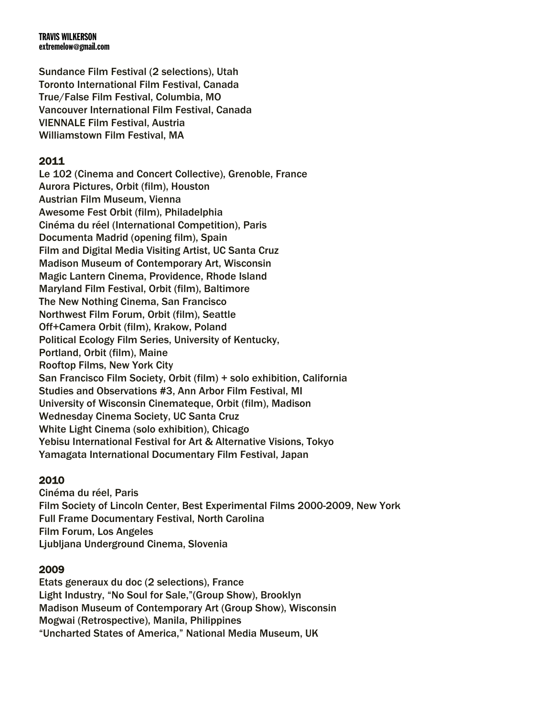Sundance Film Festival (2 selections), Utah Toronto International Film Festival, Canada True/False Film Festival, Columbia, MO Vancouver International Film Festival, Canada VIENNALE Film Festival, Austria Williamstown Film Festival, MA

## 2011

Le 102 (Cinema and Concert Collective), Grenoble, France Aurora Pictures, Orbit (film), Houston Austrian Film Museum, Vienna Awesome Fest Orbit (film), Philadelphia Cinéma du réel (International Competition), Paris Documenta Madrid (opening film), Spain Film and Digital Media Visiting Artist, UC Santa Cruz Madison Museum of Contemporary Art, Wisconsin Magic Lantern Cinema, Providence, Rhode Island Maryland Film Festival, Orbit (film), Baltimore The New Nothing Cinema, San Francisco Northwest Film Forum, Orbit (film), Seattle Off+Camera Orbit (film), Krakow, Poland Political Ecology Film Series, University of Kentucky, Portland, Orbit (film), Maine Rooftop Films, New York City San Francisco Film Society, Orbit (film) + solo exhibition, California Studies and Observations #3, Ann Arbor Film Festival, MI University of Wisconsin Cinemateque, Orbit (film), Madison Wednesday Cinema Society, UC Santa Cruz White Light Cinema (solo exhibition), Chicago Yebisu International Festival for Art & Alternative Visions, Tokyo Yamagata International Documentary Film Festival, Japan

## 2010

Cinéma du réel, Paris Film Society of Lincoln Center, Best Experimental Films 2000-2009, New York Full Frame Documentary Festival, North Carolina Film Forum, Los Angeles Ljubljana Underground Cinema, Slovenia

## 2009

Etats generaux du doc (2 selections), France Light Industry, "No Soul for Sale,"(Group Show), Brooklyn Madison Museum of Contemporary Art (Group Show), Wisconsin Mogwai (Retrospective), Manila, Philippines "Uncharted States of America," National Media Museum, UK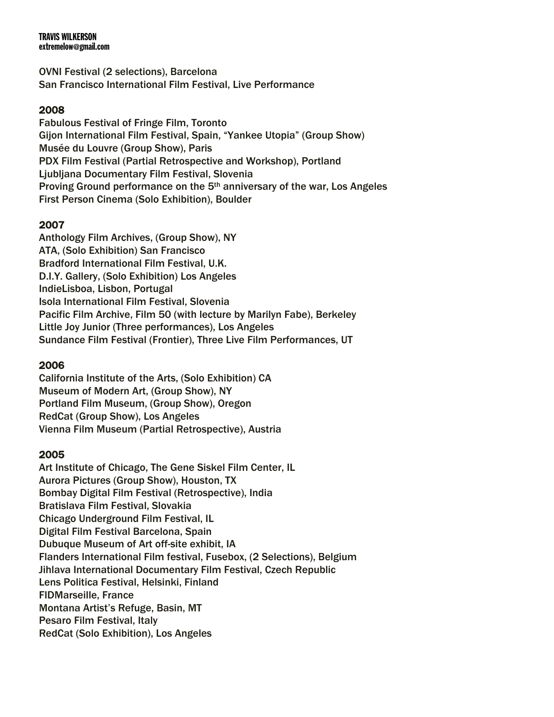OVNI Festival (2 selections), Barcelona San Francisco International Film Festival, Live Performance

## 2008

Fabulous Festival of Fringe Film, Toronto Gijon International Film Festival, Spain, "Yankee Utopia" (Group Show) Musée du Louvre (Group Show), Paris PDX Film Festival (Partial Retrospective and Workshop), Portland Ljubljana Documentary Film Festival, Slovenia Proving Ground performance on the 5th anniversary of the war, Los Angeles First Person Cinema (Solo Exhibition), Boulder

## 2007

Anthology Film Archives, (Group Show), NY ATA, (Solo Exhibition) San Francisco Bradford International Film Festival, U.K. D.I.Y. Gallery, (Solo Exhibition) Los Angeles IndieLisboa, Lisbon, Portugal Isola International Film Festival, Slovenia Pacific Film Archive, Film 50 (with lecture by Marilyn Fabe), Berkeley Little Joy Junior (Three performances), Los Angeles Sundance Film Festival (Frontier), Three Live Film Performances, UT

## 2006

California Institute of the Arts, (Solo Exhibition) CA Museum of Modern Art, (Group Show), NY Portland Film Museum, (Group Show), Oregon RedCat (Group Show), Los Angeles Vienna Film Museum (Partial Retrospective), Austria

### 2005

Art Institute of Chicago, The Gene Siskel Film Center, IL Aurora Pictures (Group Show), Houston, TX Bombay Digital Film Festival (Retrospective), India Bratislava Film Festival, Slovakia Chicago Underground Film Festival, IL Digital Film Festival Barcelona, Spain Dubuque Museum of Art off-site exhibit, IA Flanders International Film festival, Fusebox, (2 Selections), Belgium Jihlava International Documentary Film Festival, Czech Republic Lens Politica Festival, Helsinki, Finland FIDMarseille, France Montana Artist's Refuge, Basin, MT Pesaro Film Festival, Italy RedCat (Solo Exhibition), Los Angeles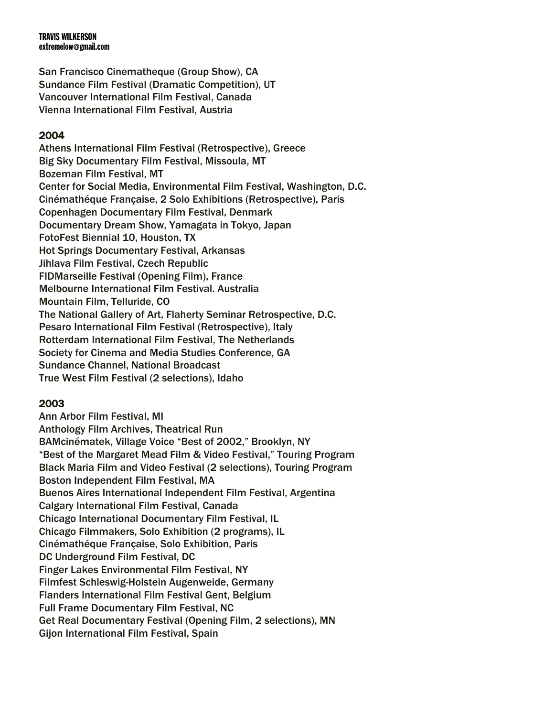San Francisco Cinematheque (Group Show), CA Sundance Film Festival (Dramatic Competition), UT Vancouver International Film Festival, Canada Vienna International Film Festival, Austria

# 2004

Athens International Film Festival (Retrospective), Greece Big Sky Documentary Film Festival, Missoula, MT Bozeman Film Festival, MT Center for Social Media, Environmental Film Festival, Washington, D.C. Cinémathéque Française, 2 Solo Exhibitions (Retrospective), Paris Copenhagen Documentary Film Festival, Denmark Documentary Dream Show, Yamagata in Tokyo, Japan FotoFest Biennial 10, Houston, TX Hot Springs Documentary Festival, Arkansas Jihlava Film Festival, Czech Republic FIDMarseille Festival (Opening Film), France Melbourne International Film Festival. Australia Mountain Film, Telluride, CO The National Gallery of Art, Flaherty Seminar Retrospective, D.C. Pesaro International Film Festival (Retrospective), Italy Rotterdam International Film Festival, The Netherlands Society for Cinema and Media Studies Conference, GA Sundance Channel, National Broadcast True West Film Festival (2 selections), Idaho

# 2003

Ann Arbor Film Festival, MI Anthology Film Archives, Theatrical Run BAMcinématek, Village Voice "Best of 2002," Brooklyn, NY "Best of the Margaret Mead Film & Video Festival," Touring Program Black Maria Film and Video Festival (2 selections), Touring Program Boston Independent Film Festival, MA Buenos Aires International Independent Film Festival, Argentina Calgary International Film Festival, Canada Chicago International Documentary Film Festival, IL Chicago Filmmakers, Solo Exhibition (2 programs), IL Cinémathéque Française, Solo Exhibition, Paris DC Underground Film Festival, DC Finger Lakes Environmental Film Festival, NY Filmfest Schleswig-Holstein Augenweide, Germany Flanders International Film Festival Gent, Belgium Full Frame Documentary Film Festival, NC Get Real Documentary Festival (Opening Film, 2 selections), MN Gijon International Film Festival, Spain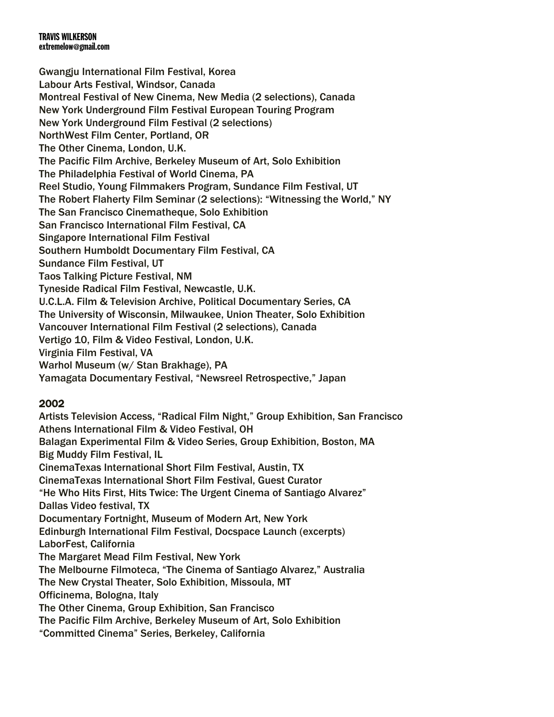Gwangju International Film Festival, Korea Labour Arts Festival, Windsor, Canada Montreal Festival of New Cinema, New Media (2 selections), Canada New York Underground Film Festival European Touring Program New York Underground Film Festival (2 selections) NorthWest Film Center, Portland, OR The Other Cinema, London, U.K. The Pacific Film Archive, Berkeley Museum of Art, Solo Exhibition The Philadelphia Festival of World Cinema, PA Reel Studio, Young Filmmakers Program, Sundance Film Festival, UT The Robert Flaherty Film Seminar (2 selections): "Witnessing the World," NY The San Francisco Cinematheque, Solo Exhibition San Francisco International Film Festival, CA Singapore International Film Festival Southern Humboldt Documentary Film Festival, CA Sundance Film Festival, UT Taos Talking Picture Festival, NM Tyneside Radical Film Festival, Newcastle, U.K. U.C.L.A. Film & Television Archive, Political Documentary Series, CA The University of Wisconsin, Milwaukee, Union Theater, Solo Exhibition Vancouver International Film Festival (2 selections), Canada Vertigo 10, Film & Video Festival, London, U.K. Virginia Film Festival, VA Warhol Museum (w/ Stan Brakhage), PA Yamagata Documentary Festival, "Newsreel Retrospective," Japan

# 2002

Artists Television Access, "Radical Film Night," Group Exhibition, San Francisco Athens International Film & Video Festival, OH Balagan Experimental Film & Video Series, Group Exhibition, Boston, MA Big Muddy Film Festival, IL CinemaTexas International Short Film Festival, Austin, TX CinemaTexas International Short Film Festival, Guest Curator "He Who Hits First, Hits Twice: The Urgent Cinema of Santiago Alvarez" Dallas Video festival, TX Documentary Fortnight, Museum of Modern Art, New York Edinburgh International Film Festival, Docspace Launch (excerpts) LaborFest, California The Margaret Mead Film Festival, New York The Melbourne Filmoteca, "The Cinema of Santiago Alvarez," Australia The New Crystal Theater, Solo Exhibition, Missoula, MT Officinema, Bologna, Italy The Other Cinema, Group Exhibition, San Francisco The Pacific Film Archive, Berkeley Museum of Art, Solo Exhibition "Committed Cinema" Series, Berkeley, California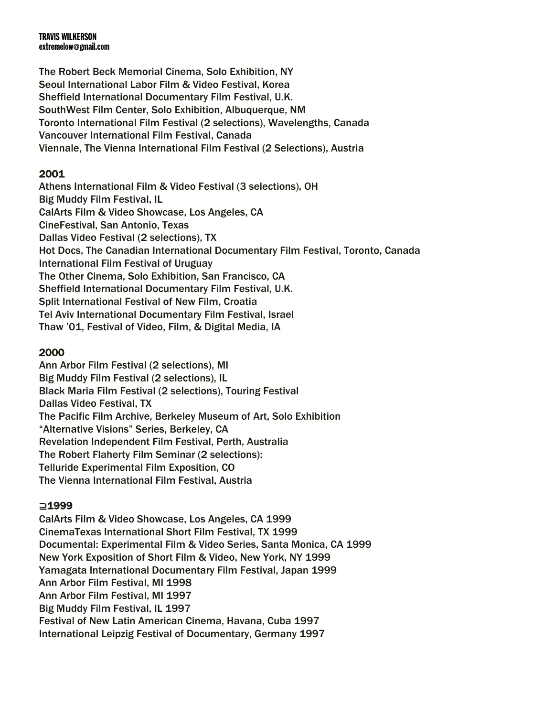The Robert Beck Memorial Cinema, Solo Exhibition, NY Seoul International Labor Film & Video Festival, Korea Sheffield International Documentary Film Festival, U.K. SouthWest Film Center, Solo Exhibition, Albuquerque, NM Toronto International Film Festival (2 selections), Wavelengths, Canada Vancouver International Film Festival, Canada Viennale, The Vienna International Film Festival (2 Selections), Austria

# 2001

Athens International Film & Video Festival (3 selections), OH Big Muddy Film Festival, IL CalArts Film & Video Showcase, Los Angeles, CA CineFestival, San Antonio, Texas Dallas Video Festival (2 selections), TX Hot Docs, The Canadian International Documentary Film Festival, Toronto, Canada International Film Festival of Uruguay The Other Cinema, Solo Exhibition, San Francisco, CA Sheffield International Documentary Film Festival, U.K. Split International Festival of New Film, Croatia Tel Aviv International Documentary Film Festival, Israel Thaw '01, Festival of Video, Film, & Digital Media, IA

# 2000

Ann Arbor Film Festival (2 selections), MI Big Muddy Film Festival (2 selections), IL Black Maria Film Festival (2 selections), Touring Festival Dallas Video Festival, TX The Pacific Film Archive, Berkeley Museum of Art, Solo Exhibition "Alternative Visions" Series, Berkeley, CA Revelation Independent Film Festival, Perth, Australia The Robert Flaherty Film Seminar (2 selections): Telluride Experimental Film Exposition, CO The Vienna International Film Festival, Austria

# ⊇1999

CalArts Film & Video Showcase, Los Angeles, CA 1999 CinemaTexas International Short Film Festival, TX 1999 Documental: Experimental Film & Video Series, Santa Monica, CA 1999 New York Exposition of Short Film & Video, New York, NY 1999 Yamagata International Documentary Film Festival, Japan 1999 Ann Arbor Film Festival, MI 1998 Ann Arbor Film Festival, MI 1997 Big Muddy Film Festival, IL 1997 Festival of New Latin American Cinema, Havana, Cuba 1997 International Leipzig Festival of Documentary, Germany 1997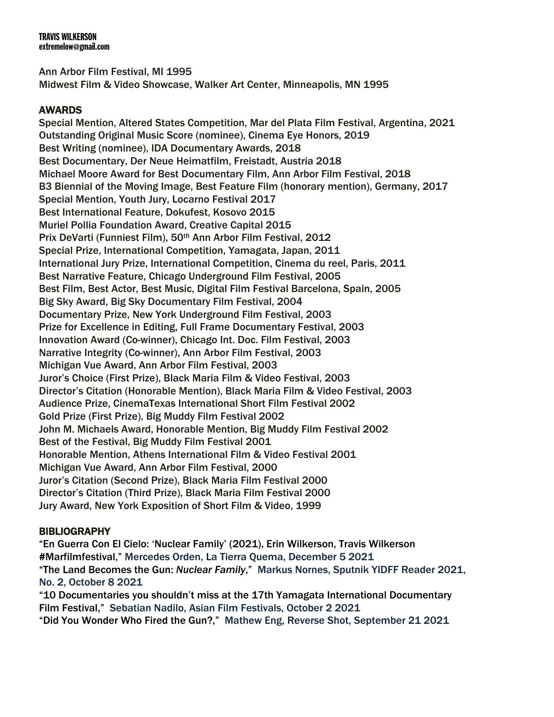Ann Arbor Film Festival, MI 1995 Midwest Film & Video Showcase, Walker Art Center, Minneapolis, MN 1995

# AWARDS

Special Mention, Altered States Competition, Mar del Plata Film Festival, Argentina, 2021 Outstanding Original Music Score (nominee), Cinema Eye Honors, 2019 Best Writing (nominee), IDA Documentary Awards, 2018 Best Documentary, Der Neue Heimatfilm, Freistadt, Austria 2018 Michael Moore Award for Best Documentary Film, Ann Arbor Film Festival, 2018 B3 Biennial of the Moving Image, Best Feature Film (honorary mention), Germany, 2017 Special Mention, Youth Jury, Locarno Festival 2017 Best International Feature, Dokufest, Kosovo 2015 Muriel Pollia Foundation Award, Creative Capital 2015 Prix DeVarti (Funniest Film), 50<sup>th</sup> Ann Arbor Film Festival, 2012 Special Prize, International Competition, Yamagata, Japan, 2011 International Jury Prize, International Competition, Cinema du reel, Paris, 2011 Best Narrative Feature, Chicago Underground Film Festival, 2005 Best Film, Best Actor, Best Music, Digital Film Festival Barcelona, Spain, 2005 Big Sky Award, Big Sky Documentary Film Festival, 2004 Documentary Prize, New York Underground Film Festival, 2003 Prize for Excellence in Editing, Full Frame Documentary Festival, 2003 Innovation Award (Co-winner), Chicago Int. Doc. Film Festival, 2003 Narrative Integrity (Co-winner), Ann Arbor Film Festival, 2003 Michigan Vue Award, Ann Arbor Film Festival, 2003 Juror's Choice (First Prize), Black Maria Film & Video Festival, 2003 Director's Citation (Honorable Mention), Black Maria Film & Video Festival, 2003 Audience Prize, CinemaTexas International Short Film Festival 2002 Gold Prize (First Prize), Big Muddy Film Festival 2002 John M. Michaels Award, Honorable Mention, Big Muddy Film Festival 2002 Best of the Festival, Big Muddy Film Festival 2001 Honorable Mention, Athens International Film & Video Festival 2001 Michigan Vue Award, Ann Arbor Film Festival, 2000 Juror's Citation (Second Prize), Black Maria Film Festival 2000 Director's Citation (Third Prize), Black Maria Film Festival 2000 Jury Award, New York Exposition of Short Film & Video, 1999

## **BIBLIOGRAPHY**

"En Guerra Con El Cielo: 'Nuclear Family' (2021), Erin Wilkerson, Travis Wilkerson #Marfilmfestival," Mercedes Orden, La Tierra Quema, December 5 2021 "The Land Becomes the Gun: *Nuclear Family*," Markus Nornes, Sputnik YIDFF Reader 2021, No. 2, October 8 2021 "10 Documentaries you shouldn't miss at the 17th Yamagata International Documentary

Film Festival," Sebatian Nadilo, Asian Film Festivals, October 2 2021 "Did You Wonder Who Fired the Gun?," Mathew Eng, Reverse Shot, September 21 2021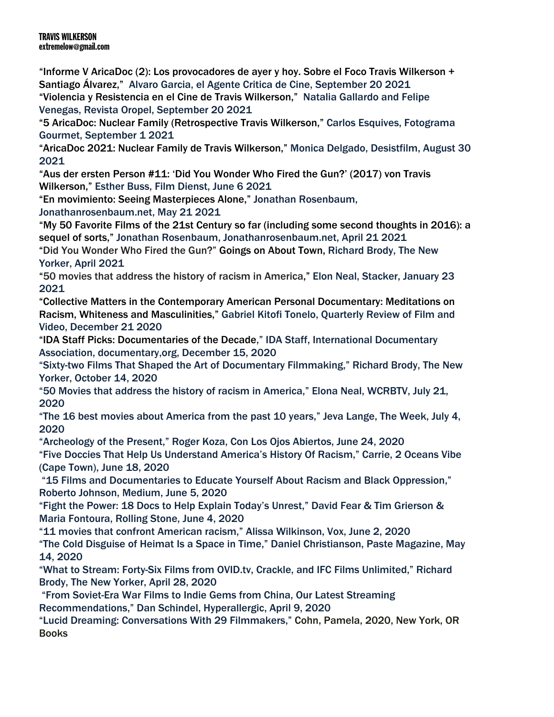"Informe V AricaDoc (2): Los provocadores de ayer y hoy. Sobre el Foco Travis Wilkerson + Santiago Álvarez," Alvaro Garcia, el Agente Critica de Cine, September 20 2021

"Violencia y Resistencia en el Cine de Travis Wilkerson," Natalia Gallardo and Felipe Venegas, Revista Oropel, September 20 2021

"5 AricaDoc: Nuclear Family (Retrospective Travis Wilkerson," Carlos Esquives, Fotograma Gourmet, September 1 2021

"AricaDoc 2021: Nuclear Family de Travis Wilkerson," Monica Delgado, Desistfilm, August 30 2021

"Aus der ersten Person #11: 'Did You Wonder Who Fired the Gun?' (2017) von Travis Wilkerson," Esther Buss, Film Dienst, June 6 2021

"En movimiento: Seeing Masterpieces Alone," Jonathan Rosenbaum,

Jonathanrosenbaum.net, May 21 2021

"My 50 Favorite Films of the 21st Century so far (including some second thoughts in 2016): a sequel of sorts," Jonathan Rosenbaum, Jonathanrosenbaum.net, April 21 2021

"Did You Wonder Who Fired the Gun?" Goings on About Town, Richard Brody, The New Yorker, April 2021

"50 movies that address the history of racism in America," Elon Neal, Stacker, January 23 2021

"Collective Matters in the Contemporary American Personal Documentary: Meditations on Racism, Whiteness and Masculinities," Gabriel Kitofi Tonelo, Quarterly Review of Film and Video, December 21 2020

"IDA Staff Picks: Documentaries of the Decade," IDA Staff, International Documentary Association, documentary,org, December 15, 2020

"Sixty-two Films That Shaped the Art of Documentary Filmmaking," Richard Brody, The New Yorker, October 14, 2020

"50 Movies that address the history of racism in America," Elona Neal, WCRBTV, July 21, 2020

"The 16 best movies about America from the past 10 years," Jeva Lange, The Week, July 4, 2020

"Archeology of the Present," Roger Koza, Con Los Ojos Abiertos, June 24, 2020

"Five Doccies That Help Us Understand America's History Of Racism," Carrie, 2 Oceans Vibe (Cape Town), June 18, 2020

"15 Films and Documentaries to Educate Yourself About Racism and Black Oppression," Roberto Johnson, Medium, June 5, 2020

"Fight the Power: 18 Docs to Help Explain Today's Unrest," David Fear & Tim Grierson & Maria Fontoura, Rolling Stone, June 4, 2020

"11 movies that confront American racism," Alissa Wilkinson, Vox, June 2, 2020 "The Cold Disguise of Heimat Is a Space in Time," Daniel Christianson, Paste Magazine, May 14, 2020

"What to Stream: Forty-Six Films from OVID.tv, Crackle, and IFC Films Unlimited," Richard Brody, The New Yorker, April 28, 2020

"From Soviet-Era War Films to Indie Gems from China, Our Latest Streaming Recommendations," Dan Schindel, Hyperallergic, April 9, 2020

"Lucid Dreaming: Conversations With 29 Filmmakers," Cohn, Pamela, 2020, New York, OR Books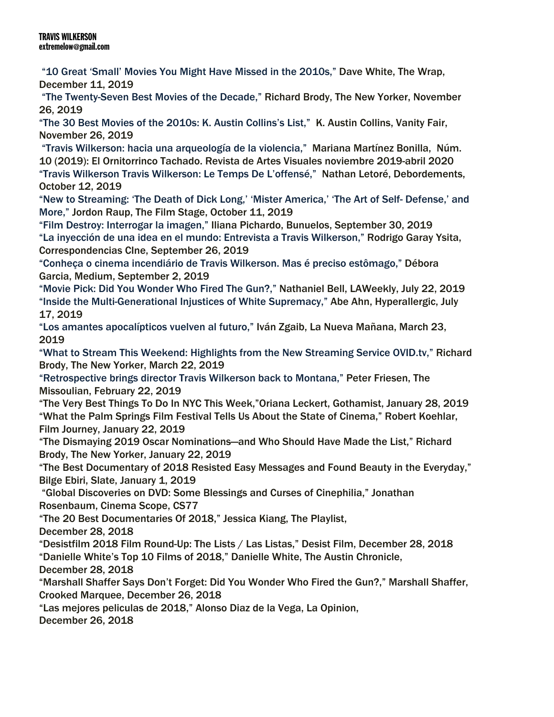"10 Great 'Small' Movies You Might Have Missed in the 2010s," Dave White, The Wrap, December 11, 2019

"The Twenty-Seven Best Movies of the Decade," Richard Brody, The New Yorker, November 26, 2019

"The 30 Best Movies of the 2010s: K. Austin Collins's List," K. Austin Collins, Vanity Fair, November 26, 2019

"Travis Wilkerson: hacia una arqueología de la violencia," Mariana Martínez Bonilla, Núm. 10 (2019): El Ornitorrinco Tachado. Revista de Artes Visuales noviembre 2019-abril 2020 "Travis Wilkerson Travis Wilkerson: Le Temps De L'offensé," Nathan Letoré, Debordements, October 12, 2019

"New to Streaming: 'The Death of Dick Long,' 'Mister America,' 'The Art of Self- Defense,' and More," Jordon Raup, The Film Stage, October 11, 2019

"Film Destroy: Interrogar la imagen," Iliana Pichardo, Bunuelos, September 30, 2019 "La inyección de una idea en el mundo: Entrevista a Travis Wilkerson," Rodrigo Garay Ysita, Correspondencias CIne, September 26, 2019

"Conheça o cinema incendiário de Travis Wilkerson. Mas é preciso estômago," Débora Garcia, Medium, September 2, 2019

"Movie Pick: Did You Wonder Who Fired The Gun?," Nathaniel Bell, LAWeekly, July 22, 2019 "Inside the Multi-Generational Injustices of White Supremacy," Abe Ahn, Hyperallergic, July 17, 2019

"Los amantes apocalípticos vuelven al futuro," Iván Zgaib, La Nueva Mañana, March 23, 2019

"What to Stream This Weekend: Highlights from the New Streaming Service OVID.tv," Richard Brody, The New Yorker, March 22, 2019

"Retrospective brings director Travis Wilkerson back to Montana," Peter Friesen, The Missoulian, February 22, 2019

"The Very Best Things To Do In NYC This Week,"Oriana Leckert, Gothamist, January 28, 2019 "What the Palm Springs Film Festival Tells Us About the State of Cinema," Robert Koehlar, Film Journey, January 22, 2019

"The Dismaying 2019 Oscar Nominations—and Who Should Have Made the List," Richard Brody, The New Yorker, January 22, 2019

"The Best Documentary of 2018 Resisted Easy Messages and Found Beauty in the Everyday," Bilge Ebiri, Slate, January 1, 2019

"Global Discoveries on DVD: Some Blessings and Curses of Cinephilia," Jonathan Rosenbaum, Cinema Scope, CS77

"The 20 Best Documentaries Of 2018," Jessica Kiang, The Playlist,

December 28, 2018

"Desistfilm 2018 Film Round-Up: The Lists / Las Listas," Desist Film, December 28, 2018

"Danielle White's Top 10 Films of 2018," Danielle White, The Austin Chronicle,

December 28, 2018

"Marshall Shaffer Says Don't Forget: Did You Wonder Who Fired the Gun?," Marshall Shaffer, Crooked Marquee, December 26, 2018

"Las mejores peliculas de 2018," Alonso Diaz de la Vega, La Opinion,

December 26, 2018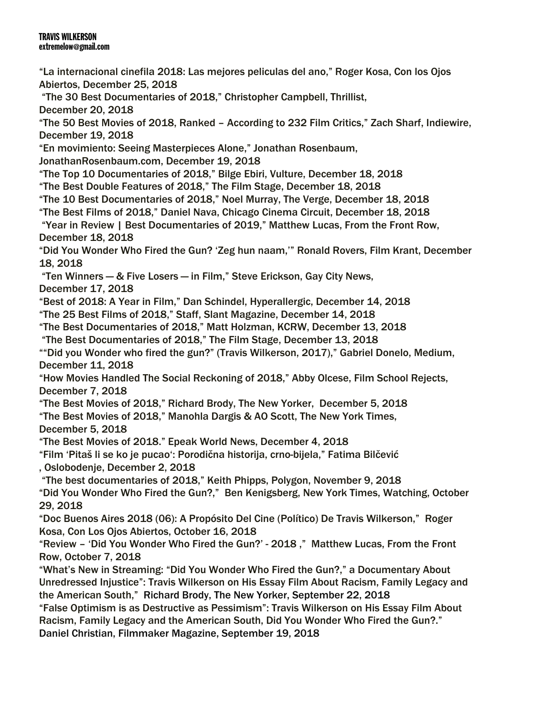"La internacional cinefila 2018: Las mejores peliculas del ano," Roger Kosa, Con los Ojos Abiertos, December 25, 2018 "The 30 Best Documentaries of 2018," Christopher Campbell, Thrillist, December 20, 2018 "The 50 Best Movies of 2018, Ranked – According to 232 Film Critics," Zach Sharf, Indiewire, December 19, 2018 "En movimiento: Seeing Masterpieces Alone," Jonathan Rosenbaum, JonathanRosenbaum.com, December 19, 2018 "The Top 10 Documentaries of 2018," Bilge Ebiri, Vulture, December 18, 2018 "The Best Double Features of 2018," The Film Stage, December 18, 2018 "The 10 Best Documentaries of 2018," Noel Murray, The Verge, December 18, 2018 "The Best Films of 2018," Daniel Nava, Chicago Cinema Circuit, December 18, 2018 "Year in Review | Best Documentaries of 2019," Matthew Lucas, From the Front Row, December 18, 2018 "Did You Wonder Who Fired the Gun? 'Zeg hun naam,'" Ronald Rovers, Film Krant, December 18, 2018 "Ten Winners — & Five Losers — in Film," Steve Erickson, Gay City News, December 17, 2018 "Best of 2018: A Year in Film," Dan Schindel, Hyperallergic, December 14, 2018 "The 25 Best Films of 2018," Staff, Slant Magazine, December 14, 2018 "The Best Documentaries of 2018," Matt Holzman, KCRW, December 13, 2018 "The Best Documentaries of 2018," The Film Stage, December 13, 2018 ""Did you Wonder who fired the gun?" (Travis Wilkerson, 2017)," Gabriel Donelo, Medium, December 11, 2018 "How Movies Handled The Social Reckoning of 2018," Abby Olcese, Film School Rejects, December 7, 2018 "The Best Movies of 2018," Richard Brody, The New Yorker, December 5, 2018 "The Best Movies of 2018," Manohla Dargis & AO Scott, The New York Times, December 5, 2018 "The Best Movies of 2018." Epeak World News, December 4, 2018 "Film 'Pitaš li se ko je pucao': Porodična historija, crno-bijela," Fatima Bilčević , Oslobodenje, December 2, 2018 "The best documentaries of 2018," Keith Phipps, Polygon, November 9, 2018 "Did You Wonder Who Fired the Gun?," Ben Kenigsberg, New York Times, Watching, October 29, 2018 "Doc Buenos Aires 2018 (06): A Propósito Del Cine (Político) De Travis Wilkerson," Roger Kosa, Con Los Ojos Abiertos, October 16, 2018 "Review – 'Did You Wonder Who Fired the Gun?' - 2018 ," Matthew Lucas, From the Front Row, October 7, 2018 "What's New in Streaming: "Did You Wonder Who Fired the Gun?," a Documentary About Unredressed Injustice": Travis Wilkerson on His Essay Film About Racism, Family Legacy and the American South," Richard Brody, The New Yorker, September 22, 2018 "False Optimism is as Destructive as Pessimism": Travis Wilkerson on His Essay Film About Racism, Family Legacy and the American South, Did You Wonder Who Fired the Gun?."

Daniel Christian, Filmmaker Magazine, September 19, 2018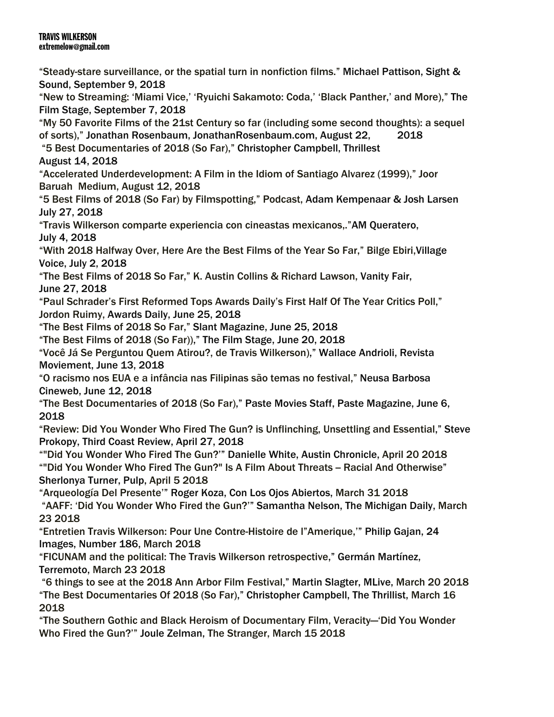"Steady-stare surveillance, or the spatial turn in nonfiction films." Michael Pattison, Sight & Sound, September 9, 2018 "New to Streaming: 'Miami Vice,' 'Ryuichi Sakamoto: Coda,' 'Black Panther,' and More)," The Film Stage, September 7, 2018 "My 50 Favorite Films of the 21st Century so far (including some second thoughts): a sequel of sorts)," Jonathan Rosenbaum, JonathanRosenbaum.com, August 22, 2018 "5 Best Documentaries of 2018 (So Far)," Christopher Campbell, Thrillest August 14, 2018 "Accelerated Underdevelopment: A Film in the Idiom of Santiago Alvarez (1999)," Joor Baruah Medium, August 12, 2018 "5 Best Films of 2018 (So Far) by Filmspotting," Podcast, Adam Kempenaar & Josh Larsen July 27, 2018 "Travis Wilkerson comparte experiencia con cineastas mexicanos,."AM Queratero, July 4, 2018 "With 2018 Halfway Over, Here Are the Best Films of the Year So Far," Bilge Ebiri,Village Voice, July 2, 2018 "The Best Films of 2018 So Far," K. Austin Collins & Richard Lawson, Vanity Fair, June 27, 2018 "Paul Schrader's First Reformed Tops Awards Daily's First Half Of The Year Critics Poll," Jordon Ruimy, Awards Daily, June 25, 2018 "The Best Films of 2018 So Far," Slant Magazine, June 25, 2018 "The Best Films of 2018 (So Far))," The Film Stage, June 20, 2018 "Você Já Se Perguntou Quem Atirou?, de Travis Wilkerson)," Wallace Andrioli, Revista Moviement, June 13, 2018 "O racismo nos EUA e a infância nas Filipinas são temas no festival," Neusa Barbosa Cineweb, June 12, 2018 "The Best Documentaries of 2018 (So Far)," Paste Movies Staff, Paste Magazine, June 6, 2018 "Review: Did You Wonder Who Fired The Gun? is Unflinching, Unsettling and Essential," Steve Prokopy, Third Coast Review, April 27, 2018 ""Did You Wonder Who Fired The Gun?'" Danielle White, Austin Chronicle, April 20 2018 ""Did You Wonder Who Fired The Gun?" Is A Film About Threats -- Racial And Otherwise" Sherlonya Turner, Pulp, April 5 2018 "Arqueología Del Presente'" Roger Koza, Con Los Ojos Abiertos, March 31 2018 "AAFF: 'Did You Wonder Who Fired the Gun?'" Samantha Nelson, The Michigan Daily, March 23 2018 "Entretien Travis Wilkerson: Pour Une Contre-Histoire de l"Amerique,'" Philip Gajan, 24 Images, Number 186, March 2018 "FICUNAM and the political: The Travis Wilkerson retrospective," Germán Martínez, Terremoto, March 23 2018 "6 things to see at the 2018 Ann Arbor Film Festival," Martin Slagter, MLive, March 20 2018 "The Best Documentaries Of 2018 (So Far)," Christopher Campbell, The Thrillist, March 16 2018 "The Southern Gothic and Black Heroism of Documentary Film, Veracity—'Did You Wonder Who Fired the Gun?'" Joule Zelman, The Stranger, March 15 2018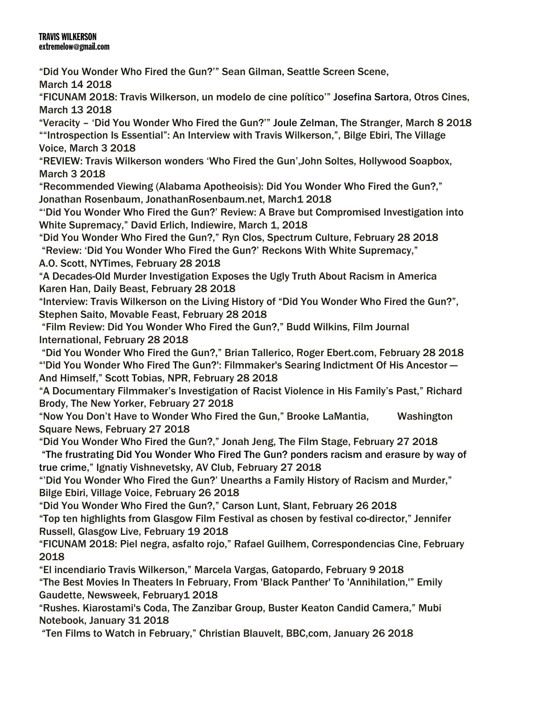"Did You Wonder Who Fired the Gun?'" Sean Gilman, Seattle Screen Scene,

March 14 2018

"FICUNAM 2018: Travis Wilkerson, un modelo de cine político'" Josefina Sartora, Otros Cines, March 13 2018

"Veracity – 'Did You Wonder Who Fired the Gun?'" Joule Zelman, The Stranger, March 8 2018 ""Introspection Is Essential": An Interview with Travis Wilkerson,", Bilge Ebiri, The Village Voice, March 3 2018

"REVIEW: Travis Wilkerson wonders 'Who Fired the Gun',John Soltes, Hollywood Soapbox, March 3 2018

"Recommended Viewing (Alabama Apotheoisis): Did You Wonder Who Fired the Gun?," Jonathan Rosenbaum, JonathanRosenbaum.net, March1 2018

"'Did You Wonder Who Fired the Gun?' Review: A Brave but Compromised Investigation into White Supremacy," David Erlich, Indiewire, March 1, 2018

"Did You Wonder Who Fired the Gun?," Ryn Clos, Spectrum Culture, February 28 2018 "Review: 'Did You Wonder Who Fired the Gun?' Reckons With White Supremacy,"

A.O. Scott, NYTimes, February 28 2018

"A Decades-Old Murder Investigation Exposes the Ugly Truth About Racism in America Karen Han, Daily Beast, February 28 2018

"Interview: Travis Wilkerson on the Living History of "Did You Wonder Who Fired the Gun?", Stephen Saito, Movable Feast, February 28 2018

"Film Review: Did You Wonder Who Fired the Gun?," Budd Wilkins, Film Journal International, February 28 2018

"Did You Wonder Who Fired the Gun?," Brian Tallerico, Roger Ebert.com, February 28 2018 "'Did You Wonder Who Fired The Gun?': Filmmaker's Searing Indictment Of His Ancestor — And Himself," Scott Tobias, NPR, February 28 2018

"A Documentary Filmmaker's Investigation of Racist Violence in His Family's Past," Richard Brody, The New Yorker, February 27 2018

"Now You Don't Have to Wonder Who Fired the Gun," Brooke LaMantia, Washington Square News, February 27 2018

"Did You Wonder Who Fired the Gun?," Jonah Jeng, The Film Stage, February 27 2018 "The frustrating Did You Wonder Who Fired The Gun? ponders racism and erasure by way of true crime," Ignatiy Vishnevetsky, AV Club, February 27 2018

"'Did You Wonder Who Fired the Gun?' Unearths a Family History of Racism and Murder," Bilge Ebiri, Village Voice, February 26 2018

"Did You Wonder Who Fired the Gun?," Carson Lunt, Slant, February 26 2018

"Top ten highlights from Glasgow Film Festival as chosen by festival co-director," Jennifer Russell, Glasgow Live, February 19 2018

"FICUNAM 2018: Piel negra, asfalto rojo," Rafael Guilhem, Correspondencias Cine, February 2018

"El incendiario Travis Wilkerson," Marcela Vargas, Gatopardo, February 9 2018

"The Best Movies In Theaters In February, From 'Black Panther' To 'Annihilation,'" Emily Gaudette, Newsweek, February1 2018

"Rushes. Kiarostami's Coda, The Zanzibar Group, Buster Keaton Candid Camera," Mubi Notebook, January 31 2018

"Ten Films to Watch in February," Christian Blauvelt, BBC,com, January 26 2018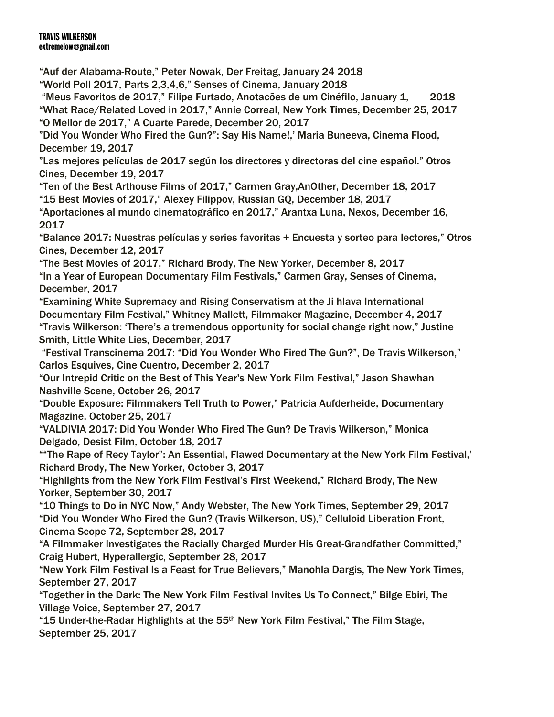"Auf der Alabama-Route," Peter Nowak, Der Freitag, January 24 2018

"World Poll 2017, Parts 2,3,4,6," Senses of Cinema, January 2018

"Meus Favoritos de 2017," Filipe Furtado, Anotacões de um Cinéfilo, January 1, 2018 "What Race/Related Loved in 2017," Annie Correal, New York Times, December 25, 2017 "O Mellor de 2017," A Cuarte Parede, December 20, 2017

"Did You Wonder Who Fired the Gun?": Say His Name!,' Maria Buneeva, Cinema Flood, December 19, 2017

"Las mejores películas de 2017 según los directores y directoras del cine español." Otros Cines, December 19, 2017

"Ten of the Best Arthouse Films of 2017," Carmen Gray,AnOther, December 18, 2017 "15 Best Movies of 2017," Alexey Filippov, Russian GQ, December 18, 2017

"Aportaciones al mundo cinematográfico en 2017," Arantxa Luna, Nexos, December 16, 2017

"Balance 2017: Nuestras películas y series favoritas + Encuesta y sorteo para lectores," Otros Cines, December 12, 2017

"The Best Movies of 2017," Richard Brody, The New Yorker, December 8, 2017 "In a Year of European Documentary Film Festivals," Carmen Gray, Senses of Cinema, December, 2017

"Examining White Supremacy and Rising Conservatism at the Ji hlava International Documentary Film Festival," Whitney Mallett, Filmmaker Magazine, December 4, 2017 "Travis Wilkerson: 'There's a tremendous opportunity for social change right now," Justine Smith, Little White Lies, December, 2017

"Festival Transcinema 2017: "Did You Wonder Who Fired The Gun?", De Travis Wilkerson," Carlos Esquives, Cine Cuentro, December 2, 2017

"Our Intrepid Critic on the Best of This Year's New York Film Festival," Jason Shawhan Nashville Scene, October 26, 2017

"Double Exposure: Filmmakers Tell Truth to Power," Patricia Aufderheide, Documentary Magazine, October 25, 2017

"VALDIVIA 2017: Did You Wonder Who Fired The Gun? De Travis Wilkerson," Monica Delgado, Desist Film, October 18, 2017

""The Rape of Recy Taylor": An Essential, Flawed Documentary at the New York Film Festival,' Richard Brody, The New Yorker, October 3, 2017

"Highlights from the New York Film Festival's First Weekend," Richard Brody, The New Yorker, September 30, 2017

"10 Things to Do in NYC Now," Andy Webster, The New York Times, September 29, 2017 "Did You Wonder Who Fired the Gun? (Travis Wilkerson, US)," Celluloid Liberation Front, Cinema Scope 72, September 28, 2017

"A Filmmaker Investigates the Racially Charged Murder His Great-Grandfather Committed," Craig Hubert, Hyperallergic, September 28, 2017

"New York Film Festival Is a Feast for True Believers," Manohla Dargis, The New York Times, September 27, 2017

"Together in the Dark: The New York Film Festival Invites Us To Connect," Bilge Ebiri, The Village Voice, September 27, 2017

"15 Under-the-Radar Highlights at the 55th New York Film Festival," The Film Stage, September 25, 2017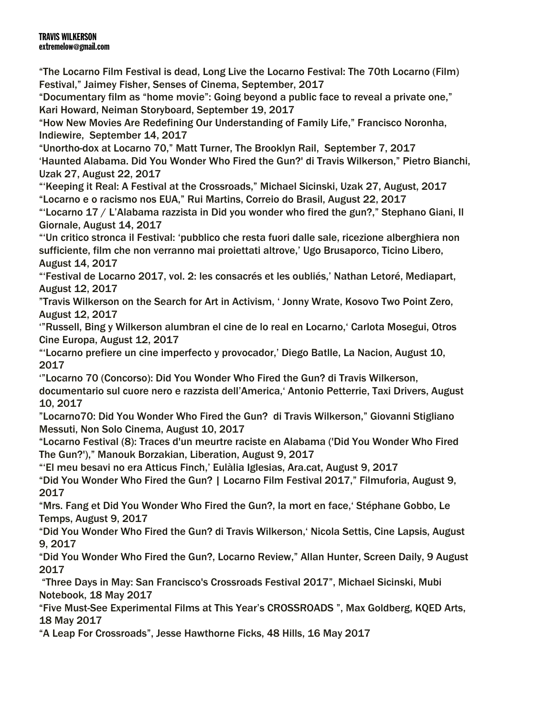"The Locarno Film Festival is dead, Long Live the Locarno Festival: The 70th Locarno (Film) Festival," Jaimey Fisher, Senses of Cinema, September, 2017

"Documentary film as "home movie": Going beyond a public face to reveal a private one," Kari Howard, Neiman Storyboard, September 19, 2017

"How New Movies Are Redefining Our Understanding of Family Life," Francisco Noronha, Indiewire, September 14, 2017

"Unortho-dox at Locarno 70," Matt Turner, The Brooklyn Rail, September 7, 2017 'Haunted Alabama. Did You Wonder Who Fired the Gun?' di Travis Wilkerson," Pietro Bianchi, Uzak 27, August 22, 2017

"'Keeping it Real: A Festival at the Crossroads," Michael Sicinski, Uzak 27, August, 2017 "Locarno e o racismo nos EUA," Rui Martins, Correio do Brasil, August 22, 2017

"'Locarno 17 / L'Alabama razzista in Did you wonder who fired the gun?," Stephano Giani, Il Giornale, August 14, 2017

"'Un critico stronca il Festival: 'pubblico che resta fuori dalle sale, ricezione alberghiera non sufficiente, film che non verranno mai proiettati altrove,' Ugo Brusaporco, Ticino Libero, August 14, 2017

"'Festival de Locarno 2017, vol. 2: les consacrés et les oubliés,' Nathan Letoré, Mediapart, August 12, 2017

"Travis Wilkerson on the Search for Art in Activism, ' Jonny Wrate, Kosovo Two Point Zero, August 12, 2017

'"Russell, Bing y Wilkerson alumbran el cine de lo real en Locarno,' Carlota Mosegui, Otros Cine Europa, August 12, 2017

"'Locarno prefiere un cine imperfecto y provocador,' Diego Batlle, La Nacion, August 10, 2017

'"Locarno 70 (Concorso): Did You Wonder Who Fired the Gun? di Travis Wilkerson, documentario sul cuore nero e razzista dell'America,' Antonio Petterrie, Taxi Drivers, August 10, 2017

"Locarno70: Did You Wonder Who Fired the Gun? di Travis Wilkerson," Giovanni Stigliano Messuti, Non Solo Cinema, August 10, 2017

"Locarno Festival (8): Traces d'un meurtre raciste en Alabama ('Did You Wonder Who Fired The Gun?')," Manouk Borzakian, Liberation, August 9, 2017

"'El meu besavi no era Atticus Finch,' Eulàlia Iglesias, Ara.cat, August 9, 2017

"Did You Wonder Who Fired the Gun? | Locarno Film Festival 2017," Filmuforia, August 9, 2017

"Mrs. Fang et Did You Wonder Who Fired the Gun?, la mort en face,' Stéphane Gobbo, Le Temps, August 9, 2017

"Did You Wonder Who Fired the Gun? di Travis Wilkerson,' Nicola Settis, Cine Lapsis, August 9, 2017

"Did You Wonder Who Fired the Gun?, Locarno Review," Allan Hunter, Screen Daily, 9 August 2017

"Three Days in May: San Francisco's Crossroads Festival 2017", Michael Sicinski, Mubi Notebook, 18 May 2017

"Five Must-See Experimental Films at This Year's CROSSROADS ", Max Goldberg, KQED Arts, 18 May 2017

"A Leap For Crossroads", Jesse Hawthorne Ficks, 48 Hills, 16 May 2017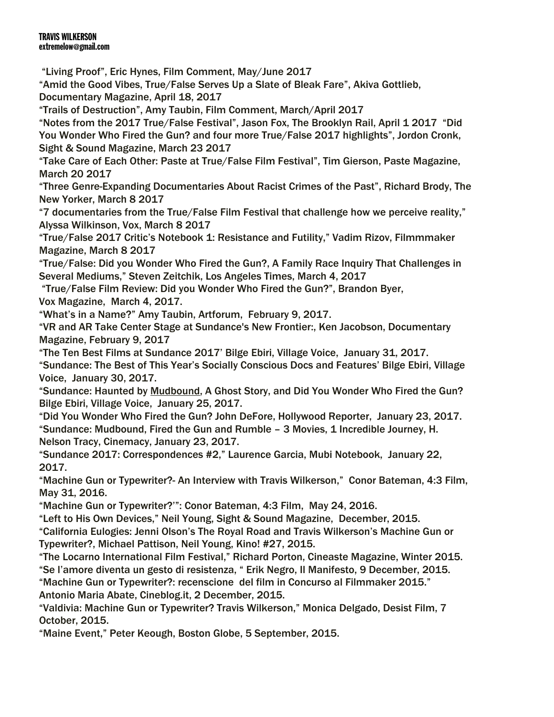"Living Proof", Eric Hynes, Film Comment, May/June 2017 "Amid the Good Vibes, True/False Serves Up a Slate of Bleak Fare", Akiva Gottlieb, Documentary Magazine, April 18, 2017 "Trails of Destruction", Amy Taubin, Film Comment, March/April 2017 "Notes from the 2017 True/False Festival", Jason Fox, The Brooklyn Rail, April 1 2017 "Did You Wonder Who Fired the Gun? and four more True/False 2017 highlights", Jordon Cronk, Sight & Sound Magazine, March 23 2017 "Take Care of Each Other: Paste at True/False Film Festival", Tim Gierson, Paste Magazine, March 20 2017 "Three Genre-Expanding Documentaries About Racist Crimes of the Past", Richard Brody, The New Yorker, March 8 2017 "7 documentaries from the True/False Film Festival that challenge how we perceive reality," Alyssa Wilkinson, Vox, March 8 2017 "True/False 2017 Critic's Notebook 1: Resistance and Futility," Vadim Rizov, Filmmmaker Magazine, March 8 2017 "True/False: Did you Wonder Who Fired the Gun?, A Family Race Inquiry That Challenges in Several Mediums," Steven Zeitchik, Los Angeles Times, March 4, 2017 "True/False Film Review: Did you Wonder Who Fired the Gun?", Brandon Byer, Vox Magazine, March 4, 2017. "What's in a Name?" Amy Taubin, Artforum, February 9, 2017. "VR and AR Take Center Stage at Sundance's New Frontier:, Ken Jacobson, Documentary Magazine, February 9, 2017 "The Ten Best Films at Sundance 2017' Bilge Ebiri, Village Voice, January 31, 2017. "Sundance: The Best of This Year's Socially Conscious Docs and Features' Bilge Ebiri, Village Voice, January 30, 2017. "Sundance: Haunted by Mudbound, A Ghost Story, and Did You Wonder Who Fired the Gun? Bilge Ebiri, Village Voice, January 25, 2017. "Did You Wonder Who Fired the Gun? John DeFore, Hollywood Reporter, January 23, 2017. "Sundance: Mudbound, Fired the Gun and Rumble – 3 Movies, 1 Incredible Journey, H. Nelson Tracy, Cinemacy, January 23, 2017. "Sundance 2017: Correspondences #2," Laurence Garcia, Mubi Notebook, January 22, 2017.

"Machine Gun or Typewriter?- An Interview with Travis Wilkerson," Conor Bateman, 4:3 Film, May 31, 2016.

"Machine Gun or Typewriter?'": Conor Bateman, 4:3 Film, May 24, 2016.

"Left to His Own Devices," Neil Young, Sight & Sound Magazine, December, 2015.

"California Eulogies: Jenni Olson's The Royal Road and Travis Wilkerson's Machine Gun or Typewriter?, Michael Pattison, Neil Young, Kino! #27, 2015.

"The Locarno International Film Festival," Richard Porton, Cineaste Magazine, Winter 2015. "Se l'amore diventa un gesto di resistenza, " Erik Negro, Il Manifesto, 9 December, 2015. "Machine Gun or Typewriter?: recenscione del film in Concurso al Filmmaker 2015." Antonio Maria Abate, Cineblog.it, 2 December, 2015.

"Valdivia: Machine Gun or Typewriter? Travis Wilkerson," Monica Delgado, Desist Film, 7 October, 2015.

"Maine Event," Peter Keough, Boston Globe, 5 September, 2015.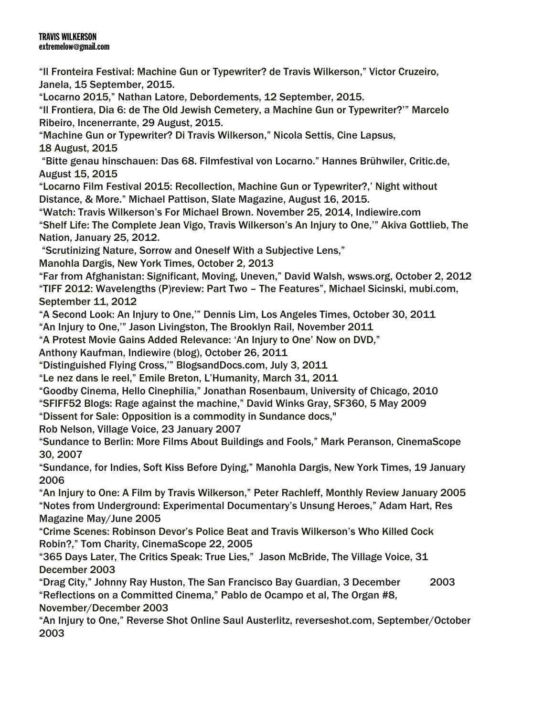"Il Fronteira Festival: Machine Gun or Typewriter? de Travis Wilkerson," Victor Cruzeiro, Janela, 15 September, 2015.

"Locarno 2015," Nathan Latore, Debordements, 12 September, 2015.

"Il Frontiera, Dia 6: de The Old Jewish Cemetery, a Machine Gun or Typewriter?'" Marcelo Ribeiro, Incenerrante, 29 August, 2015.

"Machine Gun or Typewriter? Di Travis Wilkerson," Nicola Settis, Cine Lapsus,

18 August, 2015

"Bitte genau hinschauen: Das 68. Filmfestival von Locarno." Hannes Brühwiler, Critic.de, August 15, 2015

"Locarno Film Festival 2015: Recollection, Machine Gun or Typewriter?,' Night without Distance, & More." Michael Pattison, Slate Magazine, August 16, 2015.

"Watch: Travis Wilkerson's For Michael Brown. November 25, 2014, Indiewire.com "Shelf Life: The Complete Jean Vigo, Travis Wilkerson's An Injury to One,'" Akiva Gottlieb, The Nation, January 25, 2012.

"Scrutinizing Nature, Sorrow and Oneself With a Subjective Lens,"

Manohla Dargis, New York Times, October 2, 2013

"Far from Afghanistan: Significant, Moving, Uneven," David Walsh, wsws.org, October 2, 2012 "TIFF 2012: Wavelengths (P)review: Part Two – The Features", Michael Sicinski, mubi.com, September 11, 2012

"A Second Look: An Injury to One,'" Dennis Lim, Los Angeles Times, October 30, 2011

"An Injury to One,'" Jason Livingston, The Brooklyn Rail, November 2011

"A Protest Movie Gains Added Relevance: 'An Injury to One' Now on DVD,"

Anthony Kaufman, Indiewire (blog), October 26, 2011

"Distinguished Flying Cross,'" BlogsandDocs.com, July 3, 2011

"Le nez dans le reel," Emile Breton, L'Humanity, March 31, 2011

"Goodby Cinema, Hello Cinephilia," Jonathan Rosenbaum, University of Chicago, 2010

"SFIFF52 Blogs: Rage against the machine," David Winks Gray, SF360, 5 May 2009

"Dissent for Sale: Opposition is a commodity in Sundance docs,"

Rob Nelson, Village Voice, 23 January 2007

"Sundance to Berlin: More Films About Buildings and Fools," Mark Peranson, CinemaScope 30, 2007

"Sundance, for Indies, Soft Kiss Before Dying," Manohla Dargis, New York Times, 19 January 2006

"An Injury to One: A Film by Travis Wilkerson," Peter Rachleff, Monthly Review January 2005 "Notes from Underground: Experimental Documentary's Unsung Heroes," Adam Hart, Res Magazine May/June 2005

"Crime Scenes: Robinson Devor's Police Beat and Travis Wilkerson's Who Killed Cock Robin?," Tom Charity, CinemaScope 22, 2005

"365 Days Later, The Critics Speak: True Lies," Jason McBride, The Village Voice, 31 December 2003

"Drag City," Johnny Ray Huston, The San Francisco Bay Guardian, 3 December 2003 "Reflections on a Committed Cinema," Pablo de Ocampo et al, The Organ #8, November/December 2003

"An Injury to One," Reverse Shot Online Saul Austerlitz, reverseshot.com, September/October 2003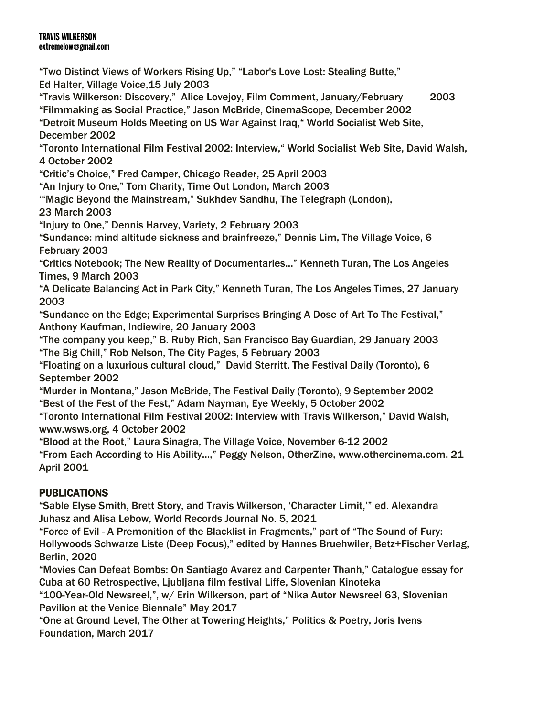"Two Distinct Views of Workers Rising Up," "Labor's Love Lost: Stealing Butte," Ed Halter, Village Voice,15 July 2003 "Travis Wilkerson: Discovery," Alice Lovejoy, Film Comment, January/February 2003 "Filmmaking as Social Practice," Jason McBride, CinemaScope, December 2002 "Detroit Museum Holds Meeting on US War Against Iraq," World Socialist Web Site, December 2002 "Toronto International Film Festival 2002: Interview," World Socialist Web Site, David Walsh, 4 October 2002 "Critic's Choice," Fred Camper, Chicago Reader, 25 April 2003 "An Injury to One," Tom Charity, Time Out London, March 2003 '"Magic Beyond the Mainstream," Sukhdev Sandhu, The Telegraph (London), 23 March 2003 "Injury to One," Dennis Harvey, Variety, 2 February 2003 "Sundance: mind altitude sickness and brainfreeze," Dennis Lim, The Village Voice, 6 February 2003 "Critics Notebook; The New Reality of Documentaries…" Kenneth Turan, The Los Angeles Times, 9 March 2003 "A Delicate Balancing Act in Park City," Kenneth Turan, The Los Angeles Times, 27 January 2003 "Sundance on the Edge; Experimental Surprises Bringing A Dose of Art To The Festival," Anthony Kaufman, Indiewire, 20 January 2003 "The company you keep," B. Ruby Rich, San Francisco Bay Guardian, 29 January 2003 "The Big Chill," Rob Nelson, The City Pages, 5 February 2003 "Floating on a luxurious cultural cloud," David Sterritt, The Festival Daily (Toronto), 6 September 2002 "Murder in Montana," Jason McBride, The Festival Daily (Toronto), 9 September 2002 "Best of the Fest of the Fest," Adam Nayman, Eye Weekly, 5 October 2002 "Toronto International Film Festival 2002: Interview with Travis Wilkerson," David Walsh, www.wsws.org, 4 October 2002 "Blood at the Root," Laura Sinagra, The Village Voice, November 6-12 2002 "From Each According to His Ability...," Peggy Nelson, OtherZine, www.othercinema.com. 21 April 2001 PUBLICATIONS

"Sable Elyse Smith, Brett Story, and Travis Wilkerson, 'Character Limit,'" ed. Alexandra Juhasz and Alisa Lebow, World Records Journal No. 5, 2021

"Force of Evil - A Premonition of the Blacklist in Fragments," part of "The Sound of Fury: Hollywoods Schwarze Liste (Deep Focus)," edited by Hannes Bruehwiler, Betz+Fischer Verlag, Berlin, 2020

"Movies Can Defeat Bombs: On Santiago Avarez and Carpenter Thanh," Catalogue essay for Cuba at 60 Retrospective, Ljubljana film festival Liffe, Slovenian Kinoteka

"100-Year-Old Newsreel,", w/ Erin Wilkerson, part of "Nika Autor Newsreel 63, Slovenian Pavilion at the Venice Biennale" May 2017

"One at Ground Level, The Other at Towering Heights," Politics & Poetry, Joris Ivens Foundation, March 2017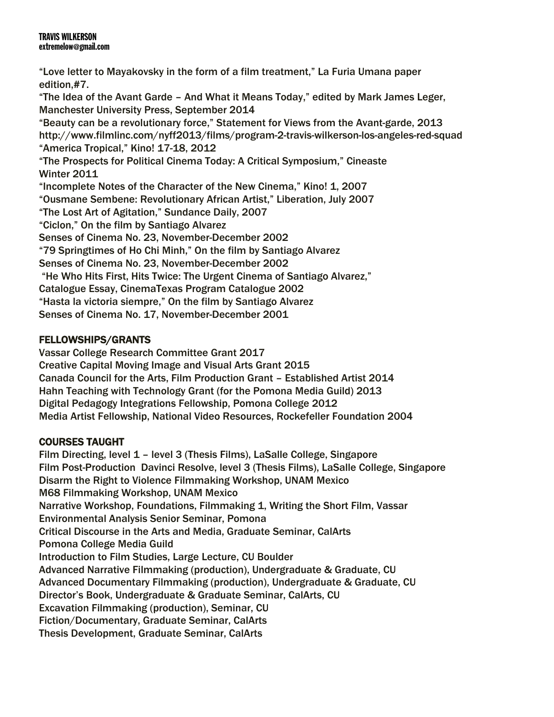"Love letter to Mayakovsky in the form of a film treatment," La Furia Umana paper edition,#7. "The Idea of the Avant Garde – And What it Means Today," edited by Mark James Leger, Manchester University Press, September 2014 "Beauty can be a revolutionary force," Statement for Views from the Avant-garde, 2013 http://www.filmlinc.com/nyff2013/films/program-2-travis-wilkerson-los-angeles-red-squad "America Tropical," Kino! 17-18, 2012 "The Prospects for Political Cinema Today: A Critical Symposium," Cineaste Winter 2011 "Incomplete Notes of the Character of the New Cinema," Kino! 1, 2007 "Ousmane Sembene: Revolutionary African Artist," Liberation, July 2007 "The Lost Art of Agitation," Sundance Daily, 2007 "Ciclon," On the film by Santiago Alvarez Senses of Cinema No. 23, November-December 2002 "79 Springtimes of Ho Chi Minh," On the film by Santiago Alvarez Senses of Cinema No. 23, November-December 2002 "He Who Hits First, Hits Twice: The Urgent Cinema of Santiago Alvarez," Catalogue Essay, CinemaTexas Program Catalogue 2002 "Hasta la victoria siempre," On the film by Santiago Alvarez Senses of Cinema No. 17, November-December 2001

# FELLOWSHIPS/GRANTS

Vassar College Research Committee Grant 2017 Creative Capital Moving Image and Visual Arts Grant 2015 Canada Council for the Arts, Film Production Grant – Established Artist 2014 Hahn Teaching with Technology Grant (for the Pomona Media Guild) 2013 Digital Pedagogy Integrations Fellowship, Pomona College 2012 Media Artist Fellowship, National Video Resources, Rockefeller Foundation 2004

# COURSES TAUGHT

Film Directing, level 1 – level 3 (Thesis Films), LaSalle College, Singapore Film Post-Production Davinci Resolve, level 3 (Thesis Films), LaSalle College, Singapore Disarm the Right to Violence Filmmaking Workshop, UNAM Mexico M68 Filmmaking Workshop, UNAM Mexico Narrative Workshop, Foundations, Filmmaking 1, Writing the Short Film, Vassar Environmental Analysis Senior Seminar, Pomona Critical Discourse in the Arts and Media, Graduate Seminar, CalArts Pomona College Media Guild Introduction to Film Studies, Large Lecture, CU Boulder Advanced Narrative Filmmaking (production), Undergraduate & Graduate, CU Advanced Documentary Filmmaking (production), Undergraduate & Graduate, CU Director's Book, Undergraduate & Graduate Seminar, CalArts, CU Excavation Filmmaking (production), Seminar, CU Fiction/Documentary, Graduate Seminar, CalArts Thesis Development, Graduate Seminar, CalArts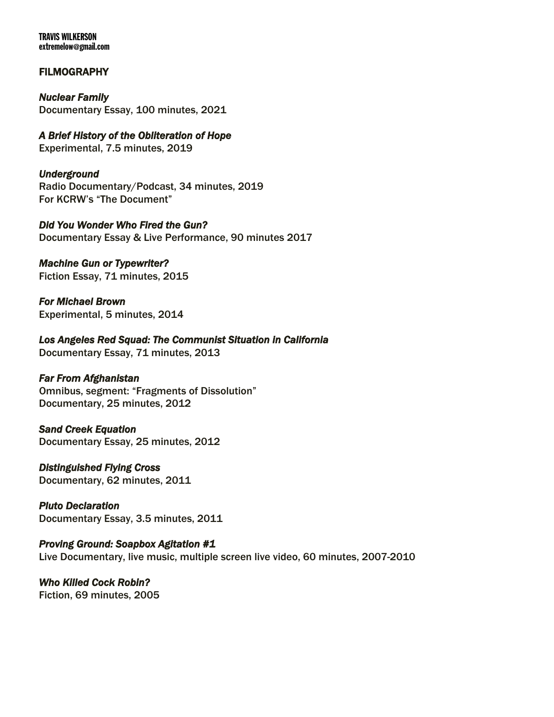### **FILMOGRAPHY**

*Nuclear Family*  Documentary Essay, 100 minutes, 2021

*A Brief History of the Obliteration of Hope*  Experimental, 7.5 minutes, 2019

*Underground*  Radio Documentary/Podcast, 34 minutes, 2019 For KCRW's "The Document"

*Did You Wonder Who Fired the Gun?*  Documentary Essay & Live Performance, 90 minutes 2017

*Machine Gun or Typewriter?*  Fiction Essay, 71 minutes, 2015

*For Michael Brown*  Experimental, 5 minutes, 2014

*Los Angeles Red Squad: The Communist Situation in California*  Documentary Essay, 71 minutes, 2013

### *Far From Afghanistan*

Omnibus, segment: "Fragments of Dissolution" Documentary, 25 minutes, 2012

*Sand Creek Equation*  Documentary Essay, 25 minutes, 2012

*Distinguished Flying Cross*  Documentary, 62 minutes, 2011

*Pluto Declaration*  Documentary Essay, 3.5 minutes, 2011

### *Proving Ground: Soapbox Agitation #1*

Live Documentary, live music, multiple screen live video, 60 minutes, 2007-2010

*Who Killed Cock Robin?*  Fiction, 69 minutes, 2005